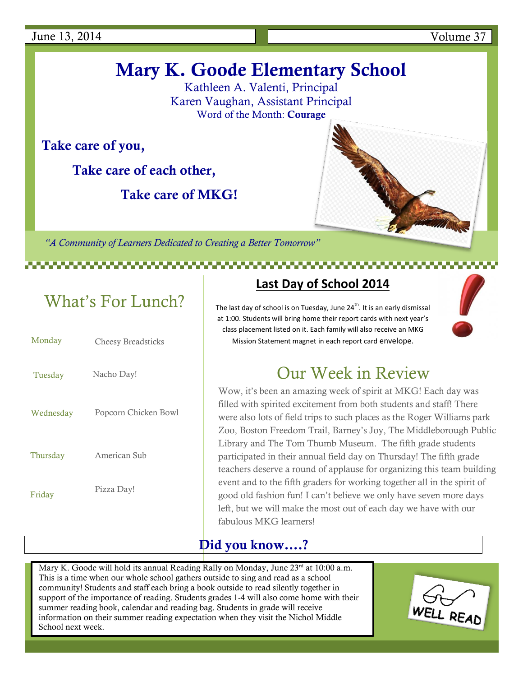# **Mary K. Goode Elementary School**

Kathleen A. Valenti, Principal Karen Vaughan, Assistant Principal Word of the Month: **Courage**

**Take care of you,**

**Take care of each other,**

 **Take care of MKG!**

*"A Community of Learners Dedicated to Creating a Better Tomorrow"*

# What's For Lunch?

| Monday    | <b>Cheesy Breadsticks</b> |
|-----------|---------------------------|
| Tuesday   | Nacho Day!                |
| Wednesday | Popcorn Chicken Bowl      |
| Thursday  | American Sub              |
| Friday    | Pizza Day!                |
|           |                           |

### **Last Day of School 2014**

The last day of school is on Tuesday, June 24<sup>th</sup>. It is an early dismissal at 1:00. Students will bring home their report cards with next year's class placement listed on it. Each family will also receive an MKG Mission Statement magnet in each report card envelope.



### Our Week in Review

Wow, it's been an amazing week of spirit at MKG! Each day was filled with spirited excitement from both students and staff! There were also lots of field trips to such places as the Roger Williams park Zoo, Boston Freedom Trail, Barney's Joy, The Middleborough Public Library and The Tom Thumb Museum. The fifth grade students participated in their annual field day on Thursday! The fifth grade teachers deserve a round of applause for organizing this team building event and to the fifth graders for working together all in the spirit of good old fashion fun! I can't believe we only have seven more days left, but we will make the most out of each day we have with our fabulous MKG learners!

### **Did you know….?**

Mary K. Goode will hold its annual Reading Rally on Monday, June 23<sup>rd</sup> at 10:00 a.m. This is a time when our whole school gathers outside to sing and read as a school community! Students and staff each bring a book outside to read silently together in support of the importance of reading. Students grades 1-4 will also come home with their summer reading book, calendar and reading bag. Students in grade will receive information on their summer reading expectation when they visit the Nichol Middle School next week.